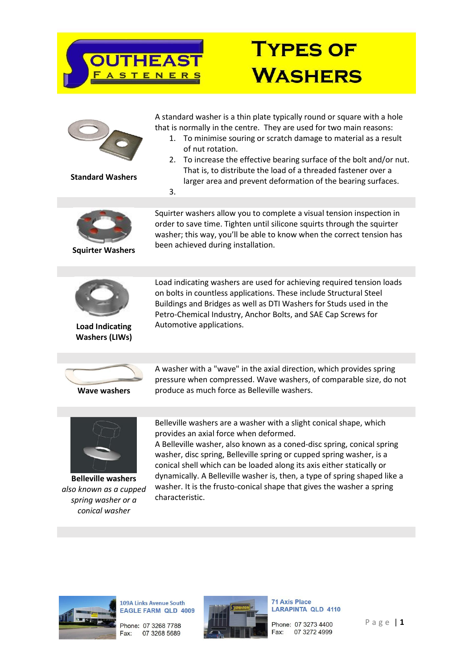

| <b>Standard Washers</b>                                                                     | A standard washer is a thin plate typically round or square with a hole<br>that is normally in the centre. They are used for two main reasons:<br>To minimise souring or scratch damage to material as a result<br>1.<br>of nut rotation.<br>To increase the effective bearing surface of the bolt and/or nut.<br>2.<br>That is, to distribute the load of a threaded fastener over a<br>larger area and prevent deformation of the bearing surfaces.<br>3.                                                      |
|---------------------------------------------------------------------------------------------|------------------------------------------------------------------------------------------------------------------------------------------------------------------------------------------------------------------------------------------------------------------------------------------------------------------------------------------------------------------------------------------------------------------------------------------------------------------------------------------------------------------|
| <b>Squirter Washers</b>                                                                     | Squirter washers allow you to complete a visual tension inspection in<br>order to save time. Tighten until silicone squirts through the squirter<br>washer; this way, you'll be able to know when the correct tension has<br>been achieved during installation.                                                                                                                                                                                                                                                  |
| <b>Load Indicating</b><br><b>Washers (LIWs)</b>                                             | Load indicating washers are used for achieving required tension loads<br>on bolts in countless applications. These include Structural Steel<br>Buildings and Bridges as well as DTI Washers for Studs used in the<br>Petro-Chemical Industry, Anchor Bolts, and SAE Cap Screws for<br>Automotive applications.                                                                                                                                                                                                   |
|                                                                                             |                                                                                                                                                                                                                                                                                                                                                                                                                                                                                                                  |
| <b>Wave washers</b>                                                                         | A washer with a "wave" in the axial direction, which provides spring<br>pressure when compressed. Wave washers, of comparable size, do not<br>produce as much force as Belleville washers.                                                                                                                                                                                                                                                                                                                       |
|                                                                                             |                                                                                                                                                                                                                                                                                                                                                                                                                                                                                                                  |
| <b>Belleville washers</b><br>also known as a cupped<br>spring washer or a<br>conical washer | Belleville washers are a washer with a slight conical shape, which<br>provides an axial force when deformed.<br>A Belleville washer, also known as a coned-disc spring, conical spring<br>washer, disc spring, Belleville spring or cupped spring washer, is a<br>conical shell which can be loaded along its axis either statically or<br>dynamically. A Belleville washer is, then, a type of spring shaped like a<br>washer. It is the frusto-conical shape that gives the washer a spring<br>characteristic. |
|                                                                                             |                                                                                                                                                                                                                                                                                                                                                                                                                                                                                                                  |
|                                                                                             |                                                                                                                                                                                                                                                                                                                                                                                                                                                                                                                  |



109A Links Avenue South<br>EAGLE FARM QLD 4009

Phone: 07 3268 7788 Fax: 07 3268 5689



71 Axis Place LARAPINTA QLD 4110

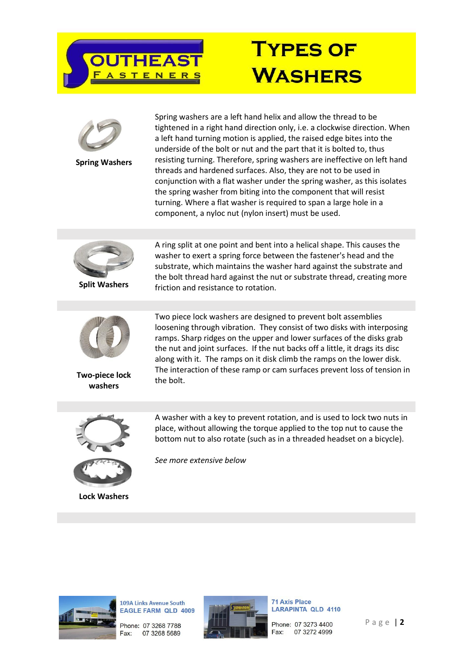



**Spring Washers**

Spring washers are a left hand helix and allow the thread to be tightened in a right hand direction only, i.e. a clockwise direction. When a left hand turning motion is applied, the raised edge bites into the underside of the bolt or nut and the part that it is bolted to, thus resisting turning. Therefore, spring washers are ineffective on left hand threads and hardened surfaces. Also, they are not to be used in conjunction with a flat washer under the spring washer, as this isolates the spring washer from biting into the component that will resist turning. Where a flat washer is required to span a large hole in a component, a nyloc nut (nylon insert) must be used.



**Split Washers**



A ring split at one point and bent into a helical shape. This causes the washer to exert a spring force between the fastener's head and the substrate, which maintains the washer hard against the substrate and the bolt thread hard against the nut or substrate thread, creating more friction and resistance to rotation.

Two piece lock washers are designed to prevent bolt assemblies loosening through vibration. They consist of two disks with interposing ramps. Sharp ridges on the upper and lower surfaces of the disks grab the nut and joint surfaces. If the nut backs off a little, it drags its disc along with it. The ramps on it disk climb the ramps on the lower disk. The interaction of these ramp or cam surfaces prevent loss of tension in



A washer with a key to prevent rotation, and is used to lock two nuts in place, without allowing the torque applied to the top nut to cause the bottom nut to also rotate (such as in a threaded headset on a bicycle).



**Lock Washers**

*See more extensive below*



109A Links Avenue South **EAGLE FARM QLD 4009** 

Phone: 07 3268 7788 07 3268 5689 Fax:



**71 Axis Place LARAPINTA QLD 4110** 

Phone: 07 3273 4400 07 3272 4999 Fax:

P a g e | **2**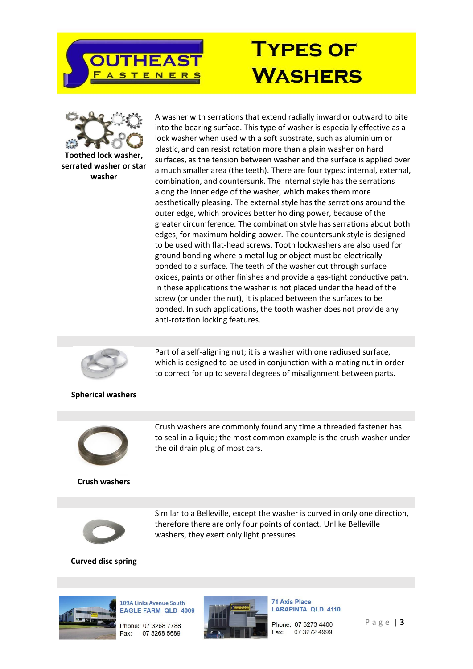



**Toothed lock washer, serrated washer or star washer**

A washer with serrations that extend radially inward or outward to bite into the bearing surface. This type of washer is especially effective as a lock washer when used with a soft substrate, such as aluminium or plastic, and can resist rotation more than a plain washer on hard surfaces, as the tension between washer and the surface is applied over a much smaller area (the teeth). There are four types: internal, external, combination, and countersunk. The internal style has the serrations along the inner edge of the washer, which makes them more aesthetically pleasing. The external style has the serrations around the outer edge, which provides better holding power, because of the greater circumference. The combination style has serrations about both edges, for maximum holding power. The countersunk style is designed to be used with flat-head screws. Tooth lockwashers are also used for ground bonding where a metal lug or object must be electrically bonded to a surface. The teeth of the washer cut through surface oxides, paints or other finishes and provide a gas-tight conductive path. In these applications the washer is not placed under the head of the screw (or under the nut), it is placed between the surfaces to be bonded. In such applications, the tooth washer does not provide any anti-rotation locking features.



#### **Spherical washers**



**Crush washers**

Crush washers are commonly found any time a threaded fastener has to seal in a liquid; the most common example is the crush washer under the oil drain plug of most cars.

Part of a self-aligning nut; it is a washer with one radiused surface, which is designed to be used in conjunction with a mating nut in order to correct for up to several degrees of misalignment between parts.



Similar to a Belleville, except the washer is curved in only one direction, therefore there are only four points of contact. Unlike Belleville washers, they exert only light pressures

#### **Curved disc spring**



109A Links Avenue South **EAGLE FARM QLD 4009** Phone: 07 3268 7788 07 3268 5689



**71 Axis Place LARAPINTA QLD 4110** 

Phone: 07 3273 4400 07 3272 4999 Fax:

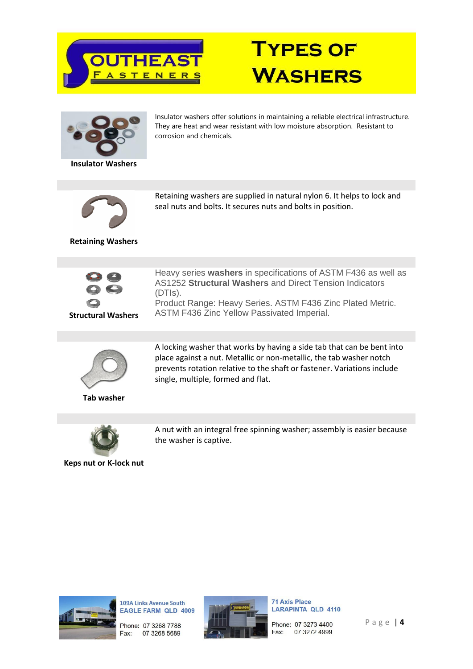







109A Links Avenue South **EAGLE FARM QLD 4009** 

Phone: 07 3268 7788 07 3268 5689 Fax:



**71 Axis Place LARAPINTA QLD 4110** 

Phone: 07 3273 4400 07 3272 4999 Fax:

Page | 4